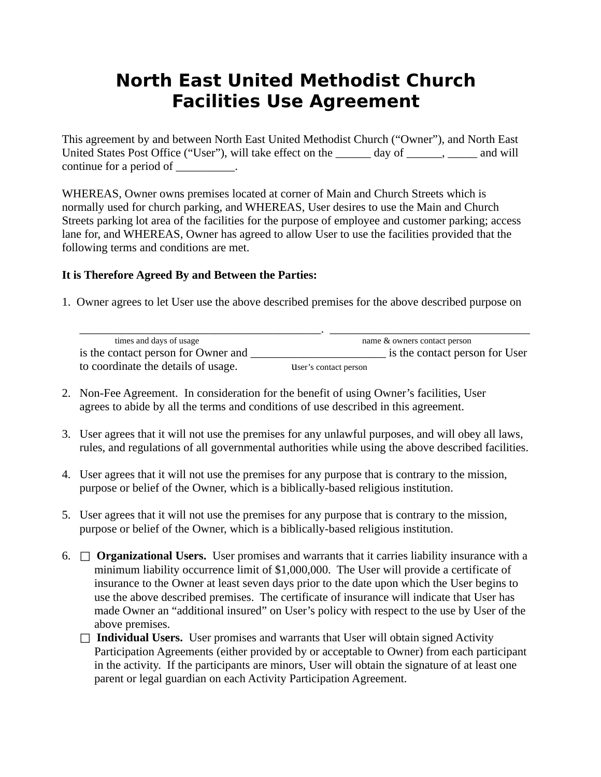## **North East United Methodist Church Facilities Use Agreement**

This agreement by and between North East United Methodist Church ("Owner"), and North East United States Post Office ("User"), will take effect on the \_\_\_\_\_\_ day of \_\_\_\_\_\_, \_\_\_\_\_ and will continue for a period of \_\_\_\_\_\_\_\_\_\_.

WHEREAS, Owner owns premises located at corner of Main and Church Streets which is normally used for church parking, and WHEREAS, User desires to use the Main and Church Streets parking lot area of the facilities for the purpose of employee and customer parking; access lane for, and WHEREAS, Owner has agreed to allow User to use the facilities provided that the following terms and conditions are met.

## **It is Therefore Agreed By and Between the Parties:**

1. Owner agrees to let User use the above described premises for the above described purpose on

| times and days of usage             | name & owners contact person |                                |
|-------------------------------------|------------------------------|--------------------------------|
| is the contact person for Owner and |                              | is the contact person for User |
| to coordinate the details of usage. | User's contact person        |                                |

- 2. Non-Fee Agreement. In consideration for the benefit of using Owner's facilities, User agrees to abide by all the terms and conditions of use described in this agreement.
- 3. User agrees that it will not use the premises for any unlawful purposes, and will obey all laws, rules, and regulations of all governmental authorities while using the above described facilities.
- 4. User agrees that it will not use the premises for any purpose that is contrary to the mission, purpose or belief of the Owner, which is a biblically-based religious institution.
- 5. User agrees that it will not use the premises for any purpose that is contrary to the mission, purpose or belief of the Owner, which is a biblically-based religious institution.
- 6.  $\Box$  **Organizational Users.** User promises and warrants that it carries liability insurance with a minimum liability occurrence limit of \$1,000,000. The User will provide a certificate of insurance to the Owner at least seven days prior to the date upon which the User begins to use the above described premises. The certificate of insurance will indicate that User has made Owner an "additional insured" on User's policy with respect to the use by User of the above premises.
	- $\Box$  **Individual Users.** User promises and warrants that User will obtain signed Activity Participation Agreements (either provided by or acceptable to Owner) from each participant in the activity. If the participants are minors, User will obtain the signature of at least one parent or legal guardian on each Activity Participation Agreement.